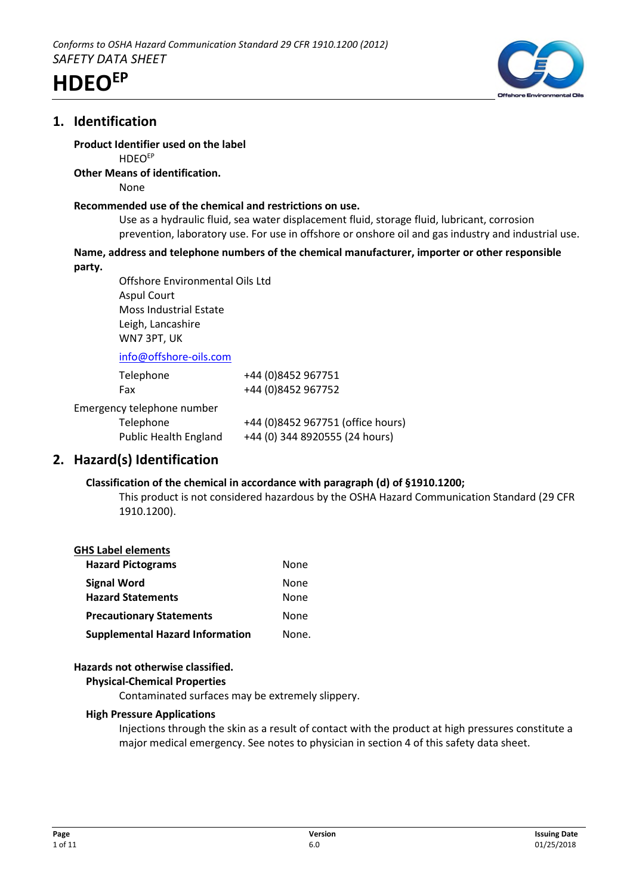

# **1. Identification**

# **Product Identifier used on the label**

**HDEO<sup>EP</sup>** 

### **Other Means of identification.**

None

### **Recommended use of the chemical and restrictions on use.**

Use as a hydraulic fluid, sea water displacement fluid, storage fluid, lubricant, corrosion prevention, laboratory use. For use in offshore or onshore oil and gas industry and industrial use.

# **Name, address and telephone numbers of the chemical manufacturer, importer or other responsible**

**party.**

Offshore Environmental Oils Ltd Aspul Court Moss Industrial Estate Leigh, Lancashire WN7 3PT, UK

info@offshore-oils.com

| Telephone                    | +44 (0)8452 967751                |
|------------------------------|-----------------------------------|
| Fax                          | +44 (0)8452 967752                |
| Emergency telephone number   |                                   |
| Telephone                    | +44 (0)8452 967751 (office hours) |
| <b>Public Health England</b> | +44 (0) 344 8920555 (24 hours)    |

# **2. Hazard(s) Identification**

# **Classification of the chemical in accordance with paragraph (d) of §1910.1200;**

This product is not considered hazardous by the OSHA Hazard Communication Standard (29 CFR 1910.1200).

# **GHS Label elements**

| <b>Hazard Pictograms</b>               | None  |
|----------------------------------------|-------|
| <b>Signal Word</b>                     | None  |
| <b>Hazard Statements</b>               | None  |
| <b>Precautionary Statements</b>        | None  |
| <b>Supplemental Hazard Information</b> | None. |

# **Hazards not otherwise classified.**

# **Physical-Chemical Properties**

Contaminated surfaces may be extremely slippery.

# **High Pressure Applications**

Injections through the skin as a result of contact with the product at high pressures constitute a major medical emergency. See notes to physician in section 4 of this safety data sheet.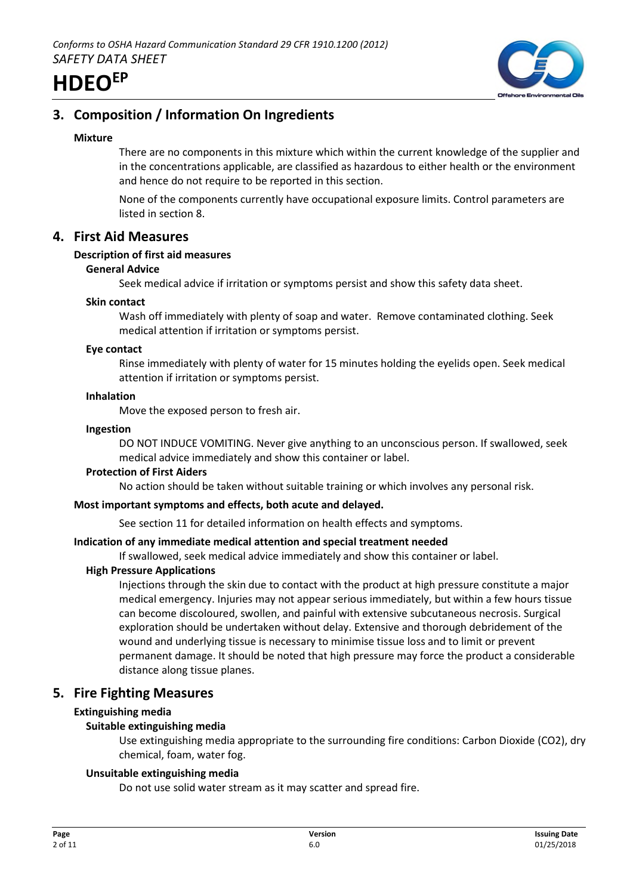

# **3. Composition / Information On Ingredients**

### **Mixture**

There are no components in this mixture which within the current knowledge of the supplier and in the concentrations applicable, are classified as hazardous to either health or the environment and hence do not require to be reported in this section.

None of the components currently have occupational exposure limits. Control parameters are listed in section 8.

# **4. First Aid Measures**

### **Description of first aid measures**

### **General Advice**

Seek medical advice if irritation or symptoms persist and show this safety data sheet.

### **Skin contact**

Wash off immediately with plenty of soap and water. Remove contaminated clothing. Seek medical attention if irritation or symptoms persist.

### **Eye contact**

Rinse immediately with plenty of water for 15 minutes holding the eyelids open. Seek medical attention if irritation or symptoms persist.

### **Inhalation**

Move the exposed person to fresh air.

### **Ingestion**

DO NOT INDUCE VOMITING. Never give anything to an unconscious person. If swallowed, seek medical advice immediately and show this container or label.

### **Protection of First Aiders**

No action should be taken without suitable training or which involves any personal risk.

### **Most important symptoms and effects, both acute and delayed.**

See section 11 for detailed information on health effects and symptoms.

# **Indication of any immediate medical attention and special treatment needed**

If swallowed, seek medical advice immediately and show this container or label.

# **High Pressure Applications**

Injections through the skin due to contact with the product at high pressure constitute a major medical emergency. Injuries may not appear serious immediately, but within a few hours tissue can become discoloured, swollen, and painful with extensive subcutaneous necrosis. Surgical exploration should be undertaken without delay. Extensive and thorough debridement of the wound and underlying tissue is necessary to minimise tissue loss and to limit or prevent permanent damage. It should be noted that high pressure may force the product a considerable distance along tissue planes.

# **5. Fire Fighting Measures**

# **Extinguishing media**

# **Suitable extinguishing media**

Use extinguishing media appropriate to the surrounding fire conditions: Carbon Dioxide (CO2), dry chemical, foam, water fog.

### **Unsuitable extinguishing media**

Do not use solid water stream as it may scatter and spread fire.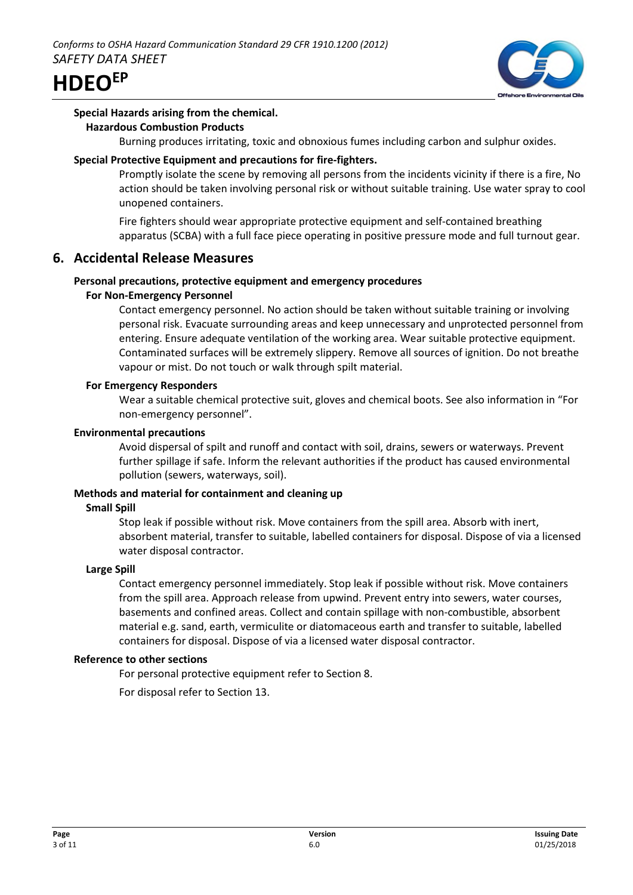



#### **Special Hazards arising from the chemical. Hazardous Combustion Products**

Burning produces irritating, toxic and obnoxious fumes including carbon and sulphur oxides.

### **Special Protective Equipment and precautions for fire-fighters.**

Promptly isolate the scene by removing all persons from the incidents vicinity if there is a fire, No action should be taken involving personal risk or without suitable training. Use water spray to cool unopened containers.

Fire fighters should wear appropriate protective equipment and self-contained breathing apparatus (SCBA) with a full face piece operating in positive pressure mode and full turnout gear.

# **6. Accidental Release Measures**

### **Personal precautions, protective equipment and emergency procedures**

### **For Non-Emergency Personnel**

Contact emergency personnel. No action should be taken without suitable training or involving personal risk. Evacuate surrounding areas and keep unnecessary and unprotected personnel from entering. Ensure adequate ventilation of the working area. Wear suitable protective equipment. Contaminated surfaces will be extremely slippery. Remove all sources of ignition. Do not breathe vapour or mist. Do not touch or walk through spilt material.

### **For Emergency Responders**

Wear a suitable chemical protective suit, gloves and chemical boots. See also information in "For non-emergency personnel".

### **Environmental precautions**

Avoid dispersal of spilt and runoff and contact with soil, drains, sewers or waterways. Prevent further spillage if safe. Inform the relevant authorities if the product has caused environmental pollution (sewers, waterways, soil).

### **Methods and material for containment and cleaning up**

### **Small Spill**

Stop leak if possible without risk. Move containers from the spill area. Absorb with inert, absorbent material, transfer to suitable, labelled containers for disposal. Dispose of via a licensed water disposal contractor.

### **Large Spill**

Contact emergency personnel immediately. Stop leak if possible without risk. Move containers from the spill area. Approach release from upwind. Prevent entry into sewers, water courses, basements and confined areas. Collect and contain spillage with non-combustible, absorbent material e.g. sand, earth, vermiculite or diatomaceous earth and transfer to suitable, labelled containers for disposal. Dispose of via a licensed water disposal contractor.

### **Reference to other sections**

For personal protective equipment refer to Section 8.

For disposal refer to Section 13.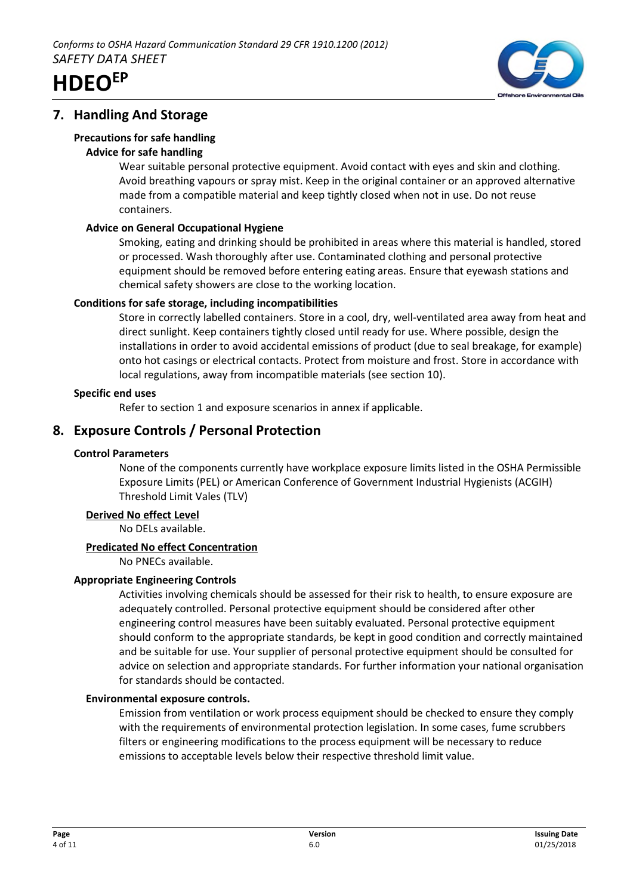



# **7. Handling And Storage**

# **Precautions for safe handling**

# **Advice for safe handling**

Wear suitable personal protective equipment. Avoid contact with eyes and skin and clothing. Avoid breathing vapours or spray mist. Keep in the original container or an approved alternative made from a compatible material and keep tightly closed when not in use. Do not reuse containers.

# **Advice on General Occupational Hygiene**

Smoking, eating and drinking should be prohibited in areas where this material is handled, stored or processed. Wash thoroughly after use. Contaminated clothing and personal protective equipment should be removed before entering eating areas. Ensure that eyewash stations and chemical safety showers are close to the working location.

# **Conditions for safe storage, including incompatibilities**

Store in correctly labelled containers. Store in a cool, dry, well-ventilated area away from heat and direct sunlight. Keep containers tightly closed until ready for use. Where possible, design the installations in order to avoid accidental emissions of product (due to seal breakage, for example) onto hot casings or electrical contacts. Protect from moisture and frost. Store in accordance with local regulations, away from incompatible materials (see section 10).

# **Specific end uses**

Refer to section 1 and exposure scenarios in annex if applicable.

# **8. Exposure Controls / Personal Protection**

# **Control Parameters**

None of the components currently have workplace exposure limits listed in the OSHA Permissible Exposure Limits (PEL) or American Conference of Government Industrial Hygienists (ACGIH) Threshold Limit Vales (TLV)

# **Derived No effect Level**

No DELs available.

# **Predicated No effect Concentration**

No PNECs available.

# **Appropriate Engineering Controls**

Activities involving chemicals should be assessed for their risk to health, to ensure exposure are adequately controlled. Personal protective equipment should be considered after other engineering control measures have been suitably evaluated. Personal protective equipment should conform to the appropriate standards, be kept in good condition and correctly maintained and be suitable for use. Your supplier of personal protective equipment should be consulted for advice on selection and appropriate standards. For further information your national organisation for standards should be contacted.

# **Environmental exposure controls.**

Emission from ventilation or work process equipment should be checked to ensure they comply with the requirements of environmental protection legislation. In some cases, fume scrubbers filters or engineering modifications to the process equipment will be necessary to reduce emissions to acceptable levels below their respective threshold limit value.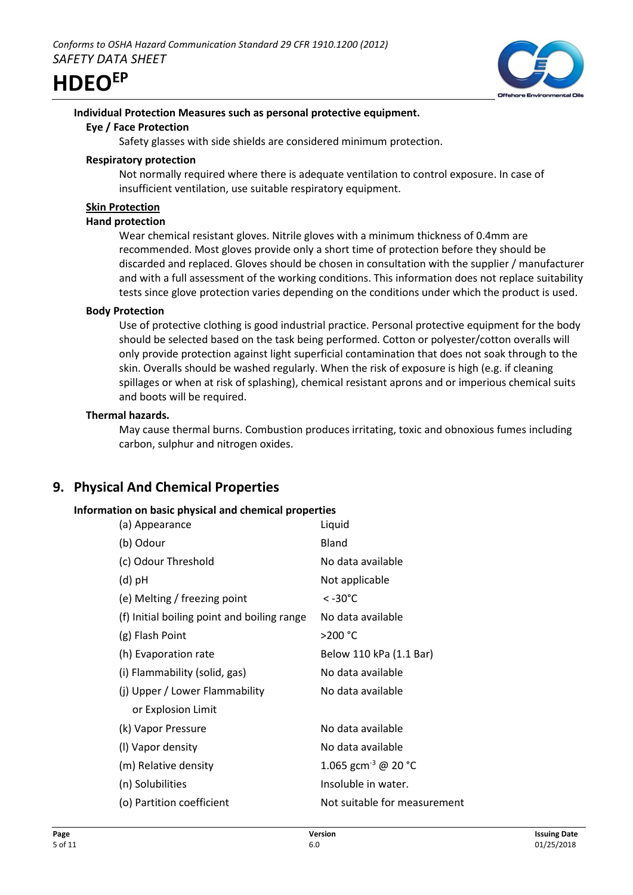

# **Individual Protection Measures such as personal protective equipment.**

### **Eye / Face Protection**

Safety glasses with side shields are considered minimum protection.

### **Respiratory protection**

Not normally required where there is adequate ventilation to control exposure. In case of insufficient ventilation, use suitable respiratory equipment.

# **Skin Protection**

### **Hand protection**

Wear chemical resistant gloves. Nitrile gloves with a minimum thickness of 0.4mm are recommended. Most gloves provide only a short time of protection before they should be discarded and replaced. Gloves should be chosen in consultation with the supplier / manufacturer and with a full assessment of the working conditions. This information does not replace suitability tests since glove protection varies depending on the conditions under which the product is used.

# **Body Protection**

Use of protective clothing is good industrial practice. Personal protective equipment for the body should be selected based on the task being performed. Cotton or polyester/cotton overalls will only provide protection against light superficial contamination that does not soak through to the skin. Overalls should be washed regularly. When the risk of exposure is high (e.g. if cleaning spillages or when at risk of splashing), chemical resistant aprons and or imperious chemical suits and boots will be required.

# **Thermal hazards.**

May cause thermal burns. Combustion produces irritating, toxic and obnoxious fumes including carbon, sulphur and nitrogen oxides.

# **9. Physical And Chemical Properties**

# **Information on basic physical and chemical properties**

| (a) Appearance                              | Liquid                          |
|---------------------------------------------|---------------------------------|
| (b) Odour                                   | Bland                           |
| (c) Odour Threshold                         | No data available               |
| (d) pH                                      | Not applicable                  |
| (e) Melting / freezing point                | $< -30^{\circ}$ C               |
| (f) Initial boiling point and boiling range | No data available               |
| (g) Flash Point                             | >200 °C                         |
| (h) Evaporation rate                        | Below 110 kPa (1.1 Bar)         |
| (i) Flammability (solid, gas)               | No data available               |
| (j) Upper / Lower Flammability              | No data available               |
| or Explosion Limit                          |                                 |
| (k) Vapor Pressure                          | No data available               |
| (I) Vapor density                           | No data available               |
| (m) Relative density                        | 1.065 gcm <sup>-3</sup> @ 20 °C |
| (n) Solubilities                            | Insoluble in water.             |
| (o) Partition coefficient                   | Not suitable for measurement    |
|                                             |                                 |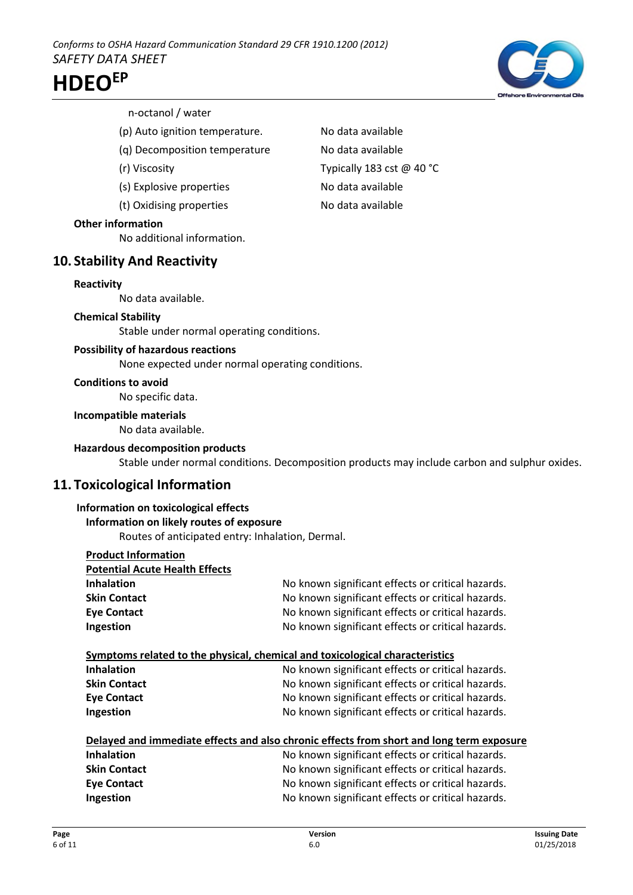

### n-octanol / water

- (p) Auto ignition temperature. No data available
- (q) Decomposition temperature No data available
- 
- (s) Explosive properties No data available
- (t) Oxidising properties No data available

### **Other information**

No additional information.

# **10. Stability And Reactivity**

### **Reactivity**

No data available.

### **Chemical Stability**

Stable under normal operating conditions.

### **Possibility of hazardous reactions**

None expected under normal operating conditions.

# **Conditions to avoid**

No specific data.

### **Incompatible materials**

No data available.

### **Hazardous decomposition products**

Stable under normal conditions. Decomposition products may include carbon and sulphur oxides.

# **11. Toxicological Information**

### **Information on toxicological effects**

# **Information on likely routes of exposure**

Routes of anticipated entry: Inhalation, Dermal.

| <b>Product Information</b>                                                               |                                                                              |  |
|------------------------------------------------------------------------------------------|------------------------------------------------------------------------------|--|
| <b>Potential Acute Health Effects</b>                                                    |                                                                              |  |
| <b>Inhalation</b>                                                                        | No known significant effects or critical hazards.                            |  |
| <b>Skin Contact</b>                                                                      | No known significant effects or critical hazards.                            |  |
| <b>Eye Contact</b>                                                                       | No known significant effects or critical hazards.                            |  |
| Ingestion                                                                                | No known significant effects or critical hazards.                            |  |
|                                                                                          | Symptoms related to the physical, chemical and toxicological characteristics |  |
| <b>Inhalation</b>                                                                        | No known significant effects or critical hazards.                            |  |
| <b>Skin Contact</b>                                                                      | No known significant effects or critical hazards.                            |  |
| <b>Eye Contact</b>                                                                       | No known significant effects or critical hazards.                            |  |
| Ingestion                                                                                | No known significant effects or critical hazards.                            |  |
| Delayed and immediate effects and also chronic effects from short and long term exposure |                                                                              |  |
| <b>Inhalation</b>                                                                        | No known significant effects or critical hazards.                            |  |
| <b>Skin Contact</b>                                                                      | No known significant effects or critical hazards.                            |  |
| <b>Eye Contact</b>                                                                       | No known significant effects or critical hazards.                            |  |
| Ingestion                                                                                | No known significant effects or critical hazards.                            |  |

(r) Viscosity Typically 183 cst @ 40 °C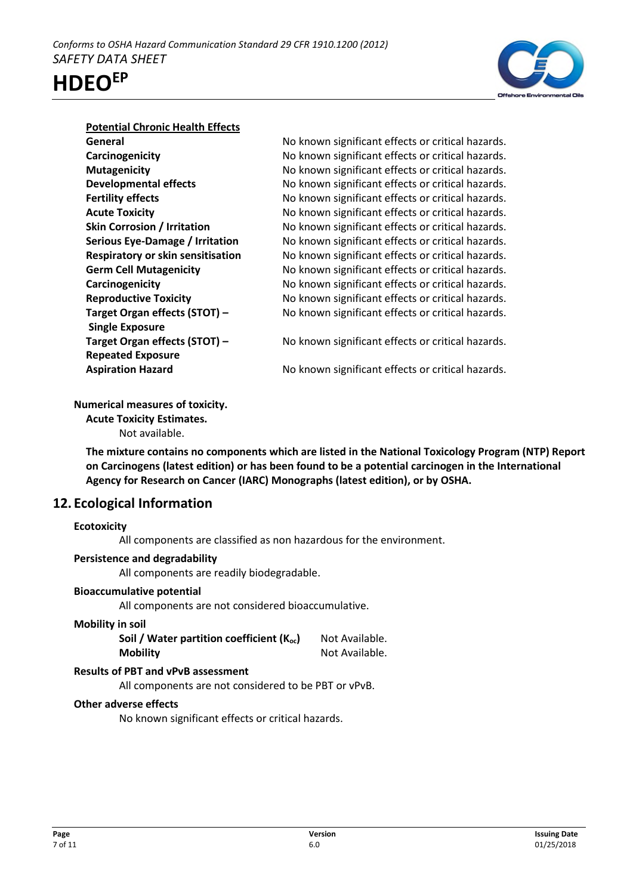



### **Potential Chronic Health Effects**

**Single Exposure Repeated Exposure**

**General General No known significant effects or critical hazards. Carcinogenicity No known significant effects or critical hazards. Mutagenicity** Mutagenicity Moknown significant effects or critical hazards. **Developmental effects** No known significant effects or critical hazards. **Fertility effects** The Superson No known significant effects or critical hazards. **Acute Toxicity No known significant effects or critical hazards. Skin Corrosion / Irritation** No known significant effects or critical hazards. **Serious Eye-Damage / Irritation** No known significant effects or critical hazards. **Respiratory or skin sensitisation** No known significant effects or critical hazards. **Germ Cell Mutagenicity No known significant effects or critical hazards. Carcinogenicity Carcinogenicity No known significant effects or critical hazards. Reproductive Toxicity** No known significant effects or critical hazards. **Target Organ effects (STOT) – No known significant effects or critical hazards.** 

**Target Organ effects (STOT) – No known significant effects or critical hazards.** 

**Aspiration Hazard** No known significant effects or critical hazards.

# **Numerical measures of toxicity.**

**Acute Toxicity Estimates.** Not available.

**The mixture contains no components which are listed in the National Toxicology Program (NTP) Report on Carcinogens (latest edition) or has been found to be a potential carcinogen in the International Agency for Research on Cancer (IARC) Monographs (latest edition), or by OSHA.**

# **12. Ecological Information**

# **Ecotoxicity**

All components are classified as non hazardous for the environment.

# **Persistence and degradability**

All components are readily biodegradable.

# **Bioaccumulative potential**

All components are not considered bioaccumulative.

### **Mobility in soil**

| Soil / Water partition coefficient $(K_{oc})$ | Not Available. |
|-----------------------------------------------|----------------|
| <b>Mobility</b>                               | Not Available. |

# **Results of PBT and vPvB assessment**

All components are not considered to be PBT or vPvB.

# **Other adverse effects**

No known significant effects or critical hazards.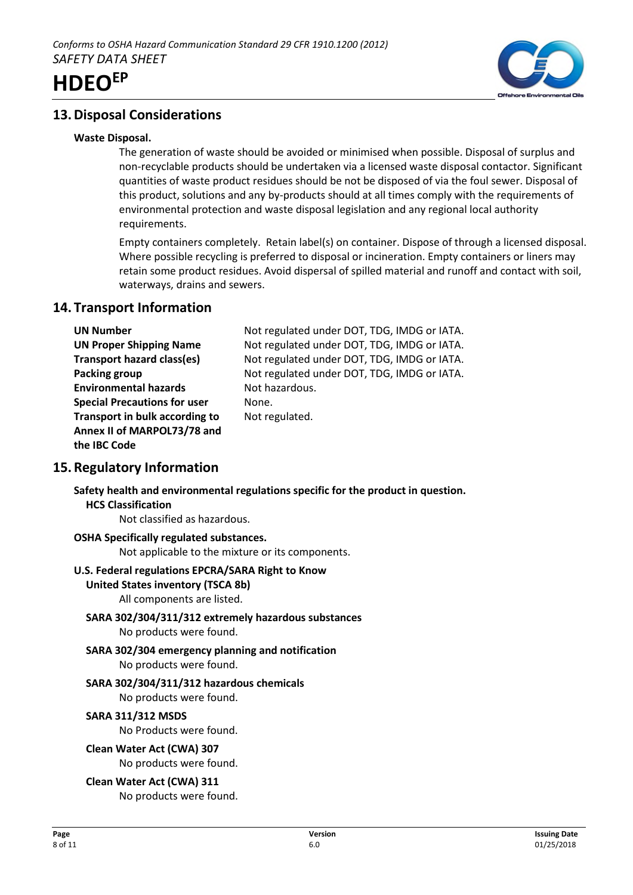

# **13.Disposal Considerations**

### **Waste Disposal.**

The generation of waste should be avoided or minimised when possible. Disposal of surplus and non-recyclable products should be undertaken via a licensed waste disposal contactor. Significant quantities of waste product residues should be not be disposed of via the foul sewer. Disposal of this product, solutions and any by-products should at all times comply with the requirements of environmental protection and waste disposal legislation and any regional local authority requirements.

Empty containers completely. Retain label(s) on container. Dispose of through a licensed disposal. Where possible recycling is preferred to disposal or incineration. Empty containers or liners may retain some product residues. Avoid dispersal of spilled material and runoff and contact with soil, waterways, drains and sewers.

# **14. Transport Information**

| <b>UN Number</b>                    | Not regulated under DOT, TDG, IMDG or IATA. |
|-------------------------------------|---------------------------------------------|
| <b>UN Proper Shipping Name</b>      | Not regulated under DOT, TDG, IMDG or IATA. |
| Transport hazard class(es)          | Not regulated under DOT, TDG, IMDG or IATA. |
| Packing group                       | Not regulated under DOT, TDG, IMDG or IATA. |
| <b>Environmental hazards</b>        | Not hazardous.                              |
| <b>Special Precautions for user</b> | None.                                       |
| Transport in bulk according to      | Not regulated.                              |
| Annex II of MARPOL73/78 and         |                                             |
| the IBC Code                        |                                             |
|                                     |                                             |

# **15.Regulatory Information**

**Safety health and environmental regulations specific for the product in question. HCS Classification**

Not classified as hazardous.

# **OSHA Specifically regulated substances.**

Not applicable to the mixture or its components.

### **U.S. Federal regulations EPCRA/SARA Right to Know**

**United States inventory (TSCA 8b)**

All components are listed.

- **SARA 302/304/311/312 extremely hazardous substances** No products were found.
- **SARA 302/304 emergency planning and notification** No products were found.
- **SARA 302/304/311/312 hazardous chemicals** No products were found.

# **SARA 311/312 MSDS**

No Products were found.

**Clean Water Act (CWA) 307**

No products were found.

**Clean Water Act (CWA) 311** No products were found.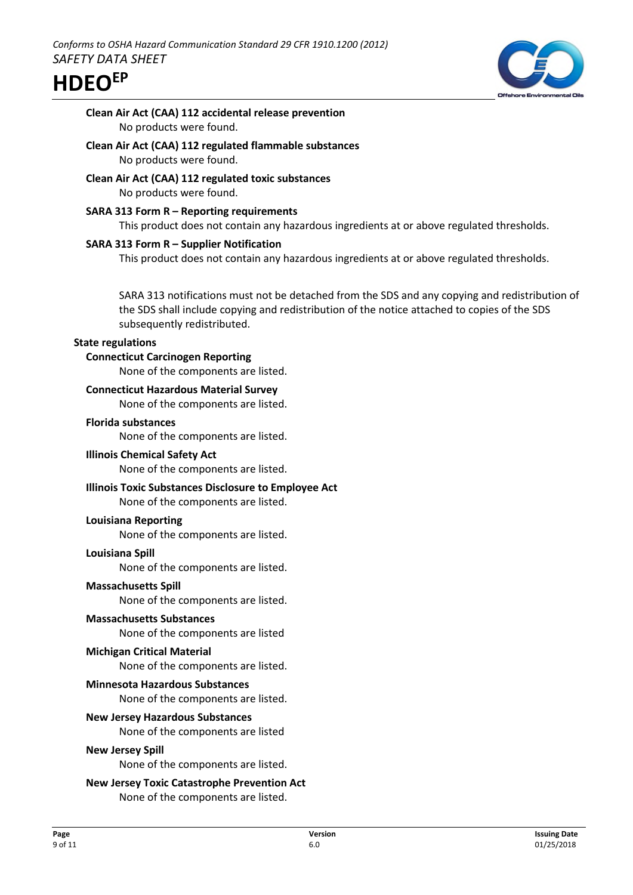

# **Clean Air Act (CAA) 112 accidental release prevention** No products were found.

- **Clean Air Act (CAA) 112 regulated flammable substances** No products were found.
- **Clean Air Act (CAA) 112 regulated toxic substances** No products were found.
- **SARA 313 Form R Reporting requirements** This product does not contain any hazardous ingredients at or above regulated thresholds.

# **SARA 313 Form R – Supplier Notification**

This product does not contain any hazardous ingredients at or above regulated thresholds.

SARA 313 notifications must not be detached from the SDS and any copying and redistribution of the SDS shall include copying and redistribution of the notice attached to copies of the SDS subsequently redistributed.

### **State regulations**

### **Connecticut Carcinogen Reporting**

None of the components are listed.

### **Connecticut Hazardous Material Survey**

None of the components are listed.

### **Florida substances**

None of the components are listed.

### **Illinois Chemical Safety Act**

None of the components are listed.

# **Illinois Toxic Substances Disclosure to Employee Act**

None of the components are listed.

### **Louisiana Reporting**

None of the components are listed.

### **Louisiana Spill**

None of the components are listed.

### **Massachusetts Spill**

None of the components are listed.

### **Massachusetts Substances**

None of the components are listed

### **Michigan Critical Material**

None of the components are listed.

### **Minnesota Hazardous Substances**

None of the components are listed.

### **New Jersey Hazardous Substances**

None of the components are listed

#### **New Jersey Spill**

None of the components are listed.

# **New Jersey Toxic Catastrophe Prevention Act**

None of the components are listed.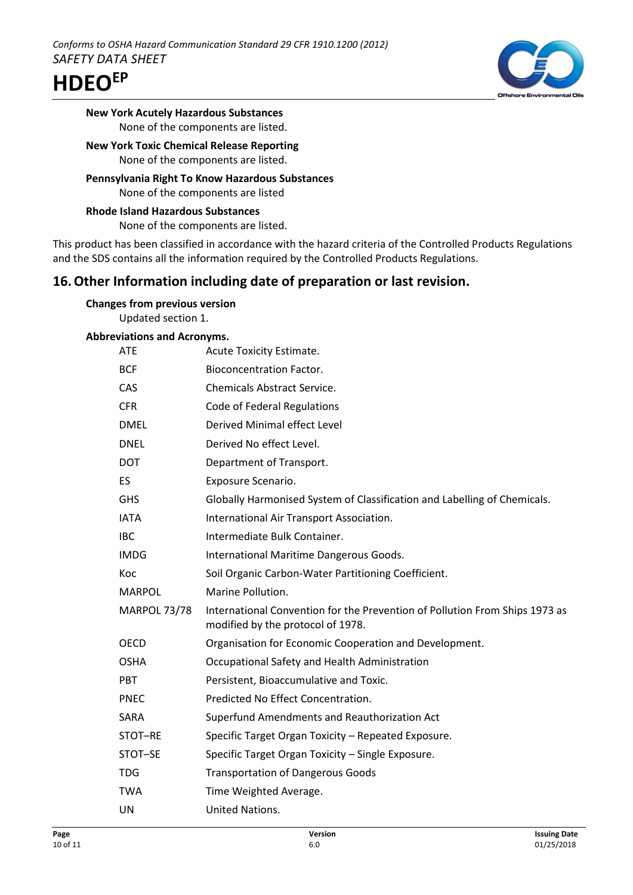

**New York Acutely Hazardous Substances** None of the components are listed.

### **New York Toxic Chemical Release Reporting** None of the components are listed.

**Pennsylvania Right To Know Hazardous Substances** None of the components are listed

**Rhode Island Hazardous Substances** None of the components are listed.

This product has been classified in accordance with the hazard criteria of the Controlled Products Regulations and the SDS contains all the information required by the Controlled Products Regulations.

# **16.Other Information including date of preparation or last revision.**

| <b>Changes from previous version</b> |  |
|--------------------------------------|--|
| Updated section 1.                   |  |

# **Abbreviations and Acronyms.**

| <b>ATE</b>          | Acute Toxicity Estimate.                                                                                         |
|---------------------|------------------------------------------------------------------------------------------------------------------|
| <b>BCF</b>          | <b>Bioconcentration Factor.</b>                                                                                  |
| CAS                 | <b>Chemicals Abstract Service.</b>                                                                               |
| <b>CFR</b>          | Code of Federal Regulations                                                                                      |
| <b>DMEL</b>         | Derived Minimal effect Level                                                                                     |
| <b>DNEL</b>         | Derived No effect Level.                                                                                         |
| <b>DOT</b>          | Department of Transport.                                                                                         |
| ES                  | Exposure Scenario.                                                                                               |
| <b>GHS</b>          | Globally Harmonised System of Classification and Labelling of Chemicals.                                         |
| <b>IATA</b>         | International Air Transport Association.                                                                         |
| <b>IBC</b>          | Intermediate Bulk Container.                                                                                     |
| <b>IMDG</b>         | International Maritime Dangerous Goods.                                                                          |
| Koc                 | Soil Organic Carbon-Water Partitioning Coefficient.                                                              |
|                     |                                                                                                                  |
| <b>MARPOL</b>       | Marine Pollution.                                                                                                |
| <b>MARPOL 73/78</b> | International Convention for the Prevention of Pollution From Ships 1973 as<br>modified by the protocol of 1978. |
| <b>OECD</b>         | Organisation for Economic Cooperation and Development.                                                           |
| <b>OSHA</b>         | Occupational Safety and Health Administration                                                                    |
| <b>PBT</b>          | Persistent, Bioaccumulative and Toxic.                                                                           |
| <b>PNEC</b>         | Predicted No Effect Concentration.                                                                               |
| SARA                | Superfund Amendments and Reauthorization Act                                                                     |
| STOT-RE             | Specific Target Organ Toxicity - Repeated Exposure.                                                              |
| STOT-SE             | Specific Target Organ Toxicity - Single Exposure.                                                                |
| <b>TDG</b>          | <b>Transportation of Dangerous Goods</b>                                                                         |
| <b>TWA</b>          | Time Weighted Average.                                                                                           |
| UN                  | United Nations.                                                                                                  |